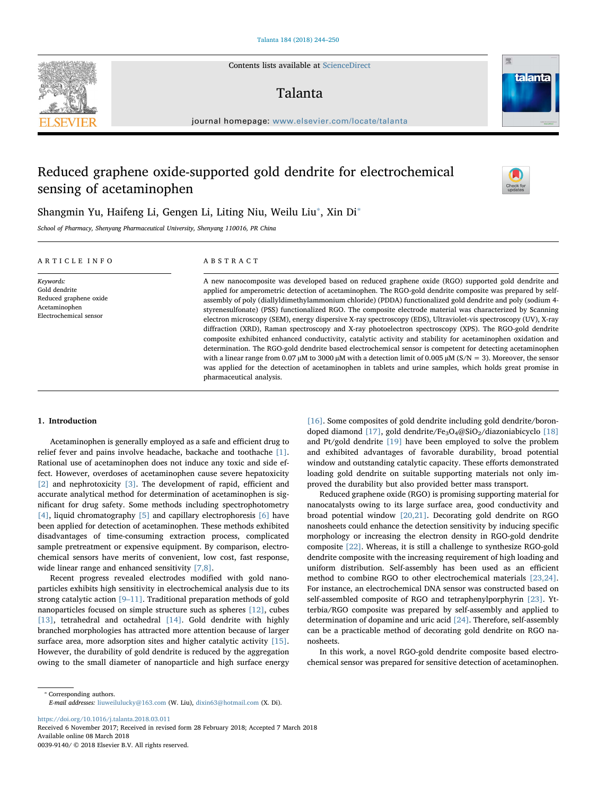Contents lists available at [ScienceDirect](http://www.sciencedirect.com/science/journal/00399140)

# Talanta

journal homepage: [www.elsevier.com/locate/talanta](https://www.elsevier.com/locate/talanta)

# Reduced graphene oxide-supported gold dendrite for electrochemical sensing of acetaminophen

Shangmin Yu, Haifeng Li, Gengen Li, Liting Niu, Weilu Liu<sup>\*</sup>, Xin Di<sup>\*</sup>

School of Pharmacy, Shenyang Pharmaceutical University, Shenyang 110016, PR China

| ABSTRACT                                                                                                                                                                                                                                                                                                                                                                                                                                                                                                                                                                                                                                                                                                                                                                                                                                                                                                                                                                                                                                                                                                                                                                            |
|-------------------------------------------------------------------------------------------------------------------------------------------------------------------------------------------------------------------------------------------------------------------------------------------------------------------------------------------------------------------------------------------------------------------------------------------------------------------------------------------------------------------------------------------------------------------------------------------------------------------------------------------------------------------------------------------------------------------------------------------------------------------------------------------------------------------------------------------------------------------------------------------------------------------------------------------------------------------------------------------------------------------------------------------------------------------------------------------------------------------------------------------------------------------------------------|
| A new nanocomposite was developed based on reduced graphene oxide (RGO) supported gold dendrite and<br>applied for amperometric detection of acetaminophen. The RGO-gold dendrite composite was prepared by self-<br>assembly of poly (diallyldimethylammonium chloride) (PDDA) functionalized gold dendrite and poly (sodium 4-<br>styrenesulfonate) (PSS) functionalized RGO. The composite electrode material was characterized by Scanning<br>electron microscopy (SEM), energy dispersive X-ray spectroscopy (EDS), Ultraviolet-vis spectroscopy (UV), X-ray<br>diffraction (XRD), Raman spectroscopy and X-ray photoelectron spectroscopy (XPS). The RGO-gold dendrite<br>composite exhibited enhanced conductivity, catalytic activity and stability for acetaminophen oxidation and<br>determination. The RGO-gold dendrite based electrochemical sensor is competent for detecting acetaminophen<br>with a linear range from 0.07 $\mu$ M to 3000 $\mu$ M with a detection limit of 0.005 $\mu$ M (S/N = 3). Moreover, the sensor<br>was applied for the detection of acetaminophen in tablets and urine samples, which holds great promise in<br>pharmaceutical analysis. |
|                                                                                                                                                                                                                                                                                                                                                                                                                                                                                                                                                                                                                                                                                                                                                                                                                                                                                                                                                                                                                                                                                                                                                                                     |

# 1. Introduction

Acetaminophen is generally employed as a safe and efficient drug to relief fever and pains involve headache, backache and toothache [\[1\]](#page--1-0). Rational use of acetaminophen does not induce any toxic and side effect. However, overdoses of acetaminophen cause severe hepatoxicity [\[2\]](#page--1-1) and nephrotoxicity [\[3\].](#page--1-2) The development of rapid, efficient and accurate analytical method for determination of acetaminophen is significant for drug safety. Some methods including spectrophotometry [\[4\],](#page--1-3) liquid chromatography  $[5]$  and capillary electrophoresis  $[6]$  have been applied for detection of acetaminophen. These methods exhibited disadvantages of time-consuming extraction process, complicated sample pretreatment or expensive equipment. By comparison, electrochemical sensors have merits of convenient, low cost, fast response, wide linear range and enhanced sensitivity [\[7,8\]](#page--1-6).

Recent progress revealed electrodes modified with gold nanoparticles exhibits high sensitivity in electrochemical analysis due to its strong catalytic action [9–[11\]](#page--1-7). Traditional preparation methods of gold nanoparticles focused on simple structure such as spheres [\[12\],](#page--1-8) cubes [\[13\]](#page--1-9), tetrahedral and octahedral [\[14\]](#page--1-10). Gold dendrite with highly branched morphologies has attracted more attention because of larger surface area, more adsorption sites and higher catalytic activity [\[15\]](#page--1-11). However, the durability of gold dendrite is reduced by the aggregation owing to the small diameter of nanoparticle and high surface energy

[\[16\]](#page--1-12). Some composites of gold dendrite including gold dendrite/boron-doped diamond [\[17\]](#page--1-13), gold dendrite/Fe<sub>3</sub>O<sub>4</sub>@SiO<sub>2</sub>/diazoniabicyclo [\[18\]](#page--1-14) and Pt/gold dendrite [\[19\]](#page--1-15) have been employed to solve the problem and exhibited advantages of favorable durability, broad potential window and outstanding catalytic capacity. These efforts demonstrated loading gold dendrite on suitable supporting materials not only improved the durability but also provided better mass transport.

Reduced graphene oxide (RGO) is promising supporting material for nanocatalysts owing to its large surface area, good conductivity and broad potential window [\[20,21\].](#page--1-16) Decorating gold dendrite on RGO nanosheets could enhance the detection sensitivity by inducing specific morphology or increasing the electron density in RGO-gold dendrite composite [\[22\].](#page--1-17) Whereas, it is still a challenge to synthesize RGO-gold dendrite composite with the increasing requirement of high loading and uniform distribution. Self-assembly has been used as an efficient method to combine RGO to other electrochemical materials [\[23,24\]](#page--1-18). For instance, an electrochemical DNA sensor was constructed based on self-assembled composite of RGO and tetraphenylporphyrin [\[23\].](#page--1-18) Ytterbia/RGO composite was prepared by self-assembly and applied to determination of dopamine and uric acid [\[24\]](#page--1-19). Therefore, self-assembly can be a practicable method of decorating gold dendrite on RGO nanosheets.

In this work, a novel RGO-gold dendrite composite based electrochemical sensor was prepared for sensitive detection of acetaminophen.

<https://doi.org/10.1016/j.talanta.2018.03.011>

Received 6 November 2017; Received in revised form 28 February 2018; Accepted 7 March 2018 Available online 08 March 2018

0039-9140/ © 2018 Elsevier B.V. All rights reserved.





[T](http://crossmark.crossref.org/dialog/?doi=10.1016/j.talanta.2018.03.011&domain=pdf)

<span id="page-0-0"></span><sup>⁎</sup> Corresponding authors. E-mail addresses: [liuweilulucky@163.com](mailto:liuweilulucky@163.com) (W. Liu), [dixin63@hotmail.com](mailto:dixin63@hotmail.com) (X. Di).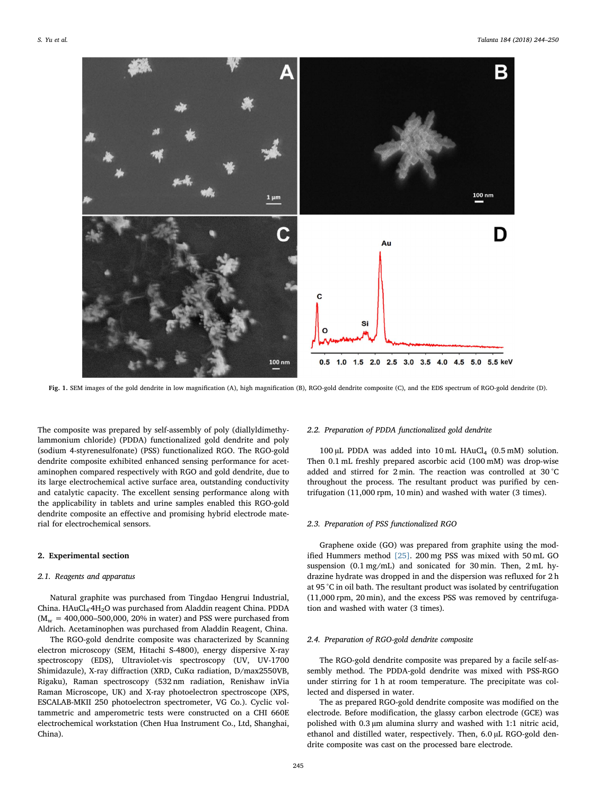

Fig. 1. SEM images of the gold dendrite in low magnification (A), high magnification (B), RGO-gold dendrite composite (C), and the EDS spectrum of RGO-gold dendrite (D).

The composite was prepared by self-assembly of poly (diallyldimethylammonium chloride) (PDDA) functionalized gold dendrite and poly (sodium 4-styrenesulfonate) (PSS) functionalized RGO. The RGO-gold dendrite composite exhibited enhanced sensing performance for acetaminophen compared respectively with RGO and gold dendrite, due to its large electrochemical active surface area, outstanding conductivity and catalytic capacity. The excellent sensing performance along with the applicability in tablets and urine samples enabled this RGO-gold dendrite composite an effective and promising hybrid electrode material for electrochemical sensors.

#### 2. Experimental section

#### 2.1. Reagents and apparatus

Natural graphite was purchased from Tingdao Hengrui Industrial, China. HAuCl<sub>4</sub>·4H<sub>2</sub>O was purchased from Aladdin reagent China. PDDA  $(M_w = 400,000$ –500,000, 20% in water) and PSS were purchased from Aldrich. Acetaminophen was purchased from Aladdin Reagent, China.

The RGO-gold dendrite composite was characterized by Scanning electron microscopy (SEM, Hitachi S-4800), energy dispersive X-ray spectroscopy (EDS), Ultraviolet-vis spectroscopy (UV, UV-1700 Shimidazule), X-ray diffraction (XRD, CuKα radiation, D/max2550VB, Rigaku), Raman spectroscopy (532 nm radiation, Renishaw inVia Raman Microscope, UK) and X-ray photoelectron spectroscope (XPS, ESCALAB-MKII 250 photoelectron spectrometer, VG Co.). Cyclic voltammetric and amperometric tests were constructed on a CHI 660E electrochemical workstation (Chen Hua Instrument Co., Ltd, Shanghai, China).

## 2.2. Preparation of PDDA functionalized gold dendrite

100 µL PDDA was added into 10 mL HAuCl<sub>4</sub> (0.5 mM) solution. Then 0.1 mL freshly prepared ascorbic acid (100 mM) was drop-wise added and stirred for 2 min. The reaction was controlled at 30 °C throughout the process. The resultant product was purified by centrifugation (11,000 rpm, 10 min) and washed with water (3 times).

## 2.3. Preparation of PSS functionalized RGO

Graphene oxide (GO) was prepared from graphite using the modified Hummers method [\[25\]](#page--1-20). 200 mg PSS was mixed with 50 mL GO suspension (0.1 mg/mL) and sonicated for 30 min. Then, 2 mL hydrazine hydrate was dropped in and the dispersion was refluxed for 2 h at 95 °C in oil bath. The resultant product was isolated by centrifugation (11,000 rpm, 20 min), and the excess PSS was removed by centrifugation and washed with water (3 times).

## 2.4. Preparation of RGO-gold dendrite composite

The RGO-gold dendrite composite was prepared by a facile self-assembly method. The PDDA-gold dendrite was mixed with PSS-RGO under stirring for 1 h at room temperature. The precipitate was collected and dispersed in water.

The as prepared RGO-gold dendrite composite was modified on the electrode. Before modification, the glassy carbon electrode (GCE) was polished with 0.3 µm alumina slurry and washed with 1:1 nitric acid, ethanol and distilled water, respectively. Then, 6.0 µL RGO-gold dendrite composite was cast on the processed bare electrode.